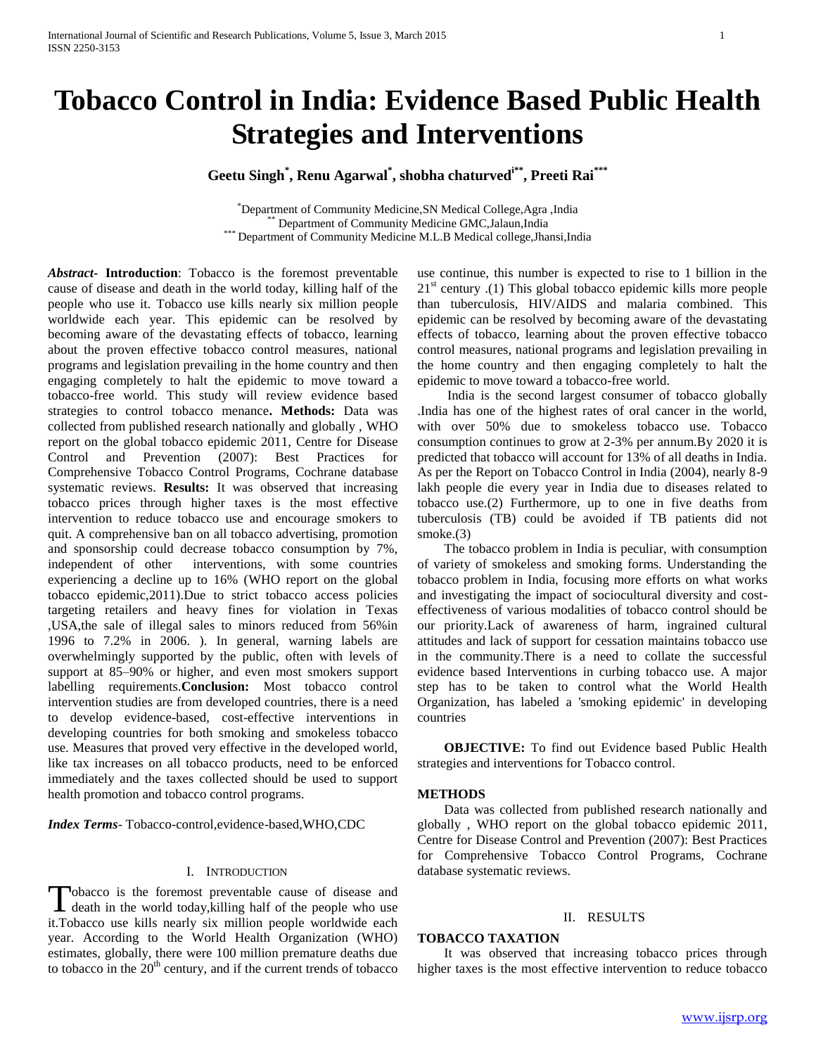# **Tobacco Control in India: Evidence Based Public Health Strategies and Interventions**

## **Geetu Singh\* , Renu Agarwal\* , shobha chaturvedi\*\* , Preeti Rai\*\*\***

\*Department of Community Medicine,SN Medical College,Agra ,India Department of Community Medicine GMC,Jalaun,India \*\*\* Department of Community Medicine M.L.B Medical college,Jhansi,India

*Abstract***- Introduction**: Tobacco is the foremost preventable cause of disease and death in the world today, killing half of the people who use it. Tobacco use kills nearly six million people worldwide each year. This epidemic can be resolved by becoming aware of the devastating effects of tobacco, learning about the proven effective tobacco control measures, national programs and legislation prevailing in the home country and then engaging completely to halt the epidemic to move toward a tobacco-free world. This study will review evidence based strategies to control tobacco menance**. Methods:** Data was collected from published research nationally and globally , WHO report on the global tobacco epidemic 2011, Centre for Disease Control and Prevention (2007): Best Practices for Comprehensive Tobacco Control Programs, Cochrane database systematic reviews. **Results:** It was observed that increasing tobacco prices through higher taxes is the most effective intervention to reduce tobacco use and encourage smokers to quit. A comprehensive ban on all tobacco advertising, promotion and sponsorship could decrease tobacco consumption by 7%, independent of other interventions, with some countries experiencing a decline up to 16% (WHO report on the global tobacco epidemic,2011).Due to strict tobacco access policies targeting retailers and heavy fines for violation in Texas ,USA,the sale of illegal sales to minors reduced from 56%in 1996 to 7.2% in 2006. ). In general, warning labels are overwhelmingly supported by the public, often with levels of support at 85–90% or higher, and even most smokers support labelling requirements.**Conclusion:** Most tobacco control intervention studies are from developed countries, there is a need to develop evidence-based, cost-effective interventions in developing countries for both smoking and smokeless tobacco use. Measures that proved very effective in the developed world, like tax increases on all tobacco products, need to be enforced immediately and the taxes collected should be used to support health promotion and tobacco control programs.

*Index Terms*- Tobacco-control,evidence-based,WHO,CDC

#### I. INTRODUCTION

Tobacco is the foremost preventable cause of disease and Tobacco is the foremost preventable cause of disease and death in the world today, killing half of the people who use it.Tobacco use kills nearly six million people worldwide each year. According to the World Health Organization (WHO) estimates, globally, there were 100 million premature deaths due to tobacco in the  $20<sup>th</sup>$  century, and if the current trends of tobacco use continue, this number is expected to rise to 1 billion in the  $21<sup>st</sup>$  century .(1) This global tobacco epidemic kills more people than tuberculosis, HIV/AIDS and malaria combined. This epidemic can be resolved by becoming aware of the devastating effects of tobacco, learning about the proven effective tobacco control measures, national programs and legislation prevailing in the home country and then engaging completely to halt the epidemic to move toward a tobacco-free world.

 India is the second largest consumer of tobacco globally .India has one of the highest rates of oral cancer in the world, with over 50% due to smokeless tobacco use. Tobacco consumption continues to grow at 2-3% per annum.By 2020 it is predicted that tobacco will account for 13% of all deaths in India. As per the Report on Tobacco Control in India (2004), nearly 8-9 lakh people die every year in India due to diseases related to tobacco use.(2) Furthermore, up to one in five deaths from tuberculosis (TB) could be avoided if TB patients did not smoke.(3)

 The tobacco problem in India is peculiar, with consumption of variety of smokeless and smoking forms. Understanding the tobacco problem in India, focusing more efforts on what works and investigating the impact of sociocultural diversity and costeffectiveness of various modalities of tobacco control should be our priority.Lack of awareness of harm, ingrained cultural attitudes and lack of support for cessation maintains tobacco use in the community.There is a need to collate the successful evidence based Interventions in curbing tobacco use. A major step has to be taken to control what the World Health Organization, has labeled a 'smoking epidemic' in developing countries

 **OBJECTIVE:** To find out Evidence based Public Health strategies and interventions for Tobacco control.

#### **METHODS**

 Data was collected from published research nationally and globally , WHO report on the global tobacco epidemic 2011, Centre for Disease Control and Prevention (2007): Best Practices for Comprehensive Tobacco Control Programs, Cochrane database systematic reviews.

#### II. RESULTS

## **TOBACCO TAXATION**

 It was observed that increasing tobacco prices through higher taxes is the most effective intervention to reduce tobacco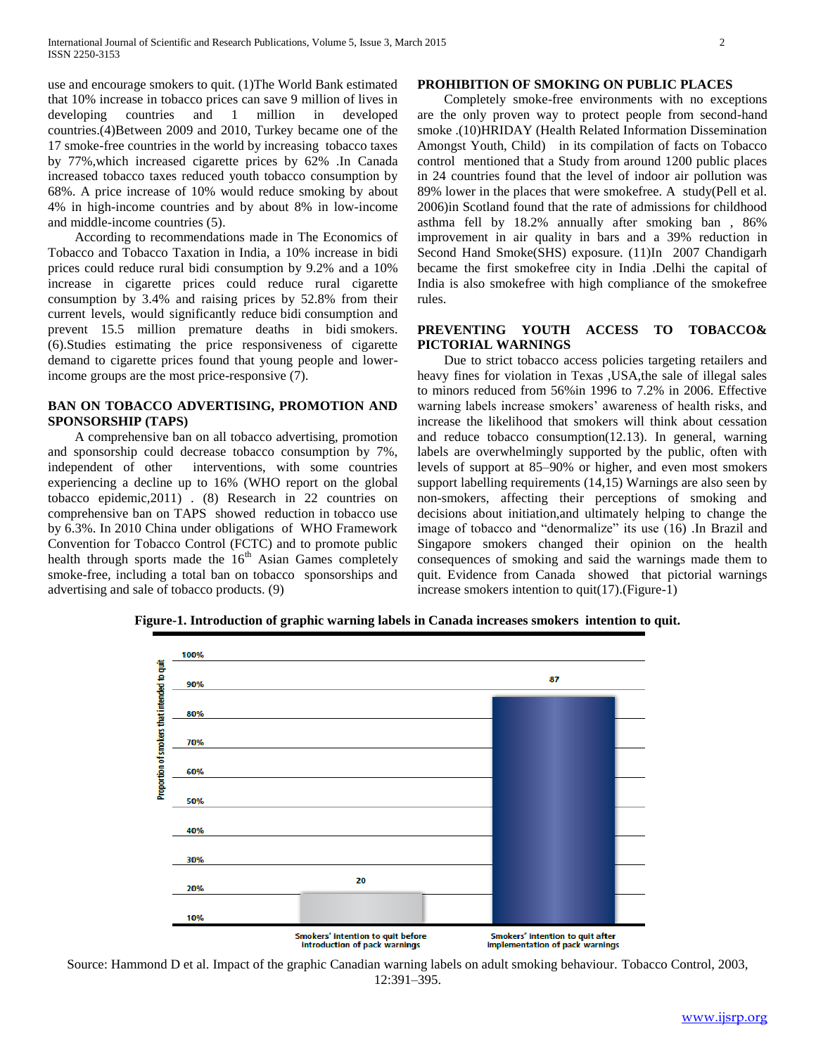use and encourage smokers to quit. (1)The World Bank estimated that 10% increase in tobacco prices can save 9 million of lives in developing countries and 1 million in developed countries.(4)Between 2009 and 2010, Turkey became one of the 17 smoke-free countries in the world by increasing tobacco taxes by 77%,which increased cigarette prices by 62% .In Canada increased tobacco taxes reduced youth tobacco consumption by 68%. A price increase of 10% would reduce smoking by about 4% in high-income countries and by about 8% in low-income and middle-income countries (5).

 According to recommendations made in The Economics of Tobacco and Tobacco Taxation in India, a 10% increase in bidi prices could reduce rural bidi consumption by 9.2% and a 10% increase in cigarette prices could reduce rural cigarette consumption by 3.4% and raising prices by 52.8% from their current levels, would significantly reduce bidi consumption and prevent 15.5 million premature deaths in bidi smokers. (6).Studies estimating the price responsiveness of cigarette demand to cigarette prices found that young people and lowerincome groups are the most price-responsive (7).

## **BAN ON TOBACCO ADVERTISING, PROMOTION AND SPONSORSHIP (TAPS)**

 A comprehensive ban on all tobacco advertising, promotion and sponsorship could decrease tobacco consumption by 7%, independent of other interventions, with some countries experiencing a decline up to 16% (WHO report on the global tobacco epidemic,2011) . (8) Research in 22 countries on comprehensive ban on TAPS showed reduction in tobacco use by 6.3%. In 2010 China under obligations of WHO Framework Convention for Tobacco Control (FCTC) and to promote public health through sports made the  $16<sup>th</sup>$  Asian Games completely smoke-free, including a total ban on tobacco sponsorships and advertising and sale of tobacco products. (9)

### **PROHIBITION OF SMOKING ON PUBLIC PLACES**

 Completely smoke-free environments with no exceptions are the only proven way to protect people from second-hand smoke .(10)HRIDAY (Health Related Information Dissemination Amongst Youth, Child) in its compilation of facts on Tobacco control mentioned that a Study from around 1200 public places in 24 countries found that the level of indoor air pollution was 89% lower in the places that were smokefree. A study(Pell et al. 2006)in Scotland found that the rate of admissions for childhood asthma fell by 18.2% annually after smoking ban , 86% improvement in air quality in bars and a 39% reduction in Second Hand Smoke(SHS) exposure. (11)In 2007 Chandigarh became the first smokefree city in India .Delhi the capital of India is also smokefree with high compliance of the smokefree rules.

## **PREVENTING YOUTH ACCESS TO TOBACCO& PICTORIAL WARNINGS**

 Due to strict tobacco access policies targeting retailers and heavy fines for violation in Texas ,USA,the sale of illegal sales to minors reduced from 56%in 1996 to 7.2% in 2006. Effective warning labels increase smokers' awareness of health risks, and increase the likelihood that smokers will think about cessation and reduce tobacco consumption(12.13). In general, warning labels are overwhelmingly supported by the public, often with levels of support at 85–90% or higher, and even most smokers support labelling requirements (14,15) Warnings are also seen by non-smokers, affecting their perceptions of smoking and decisions about initiation,and ultimately helping to change the image of tobacco and "denormalize" its use (16) .In Brazil and Singapore smokers changed their opinion on the health consequences of smoking and said the warnings made them to quit. Evidence from Canada showed that pictorial warnings increase smokers intention to quit(17).(Figure-1)



**Figure-1. Introduction of graphic warning labels in Canada increases smokers intention to quit.**

Source: Hammond D et al. Impact of the graphic Canadian warning labels on adult smoking behaviour. Tobacco Control, 2003, 12:391–395.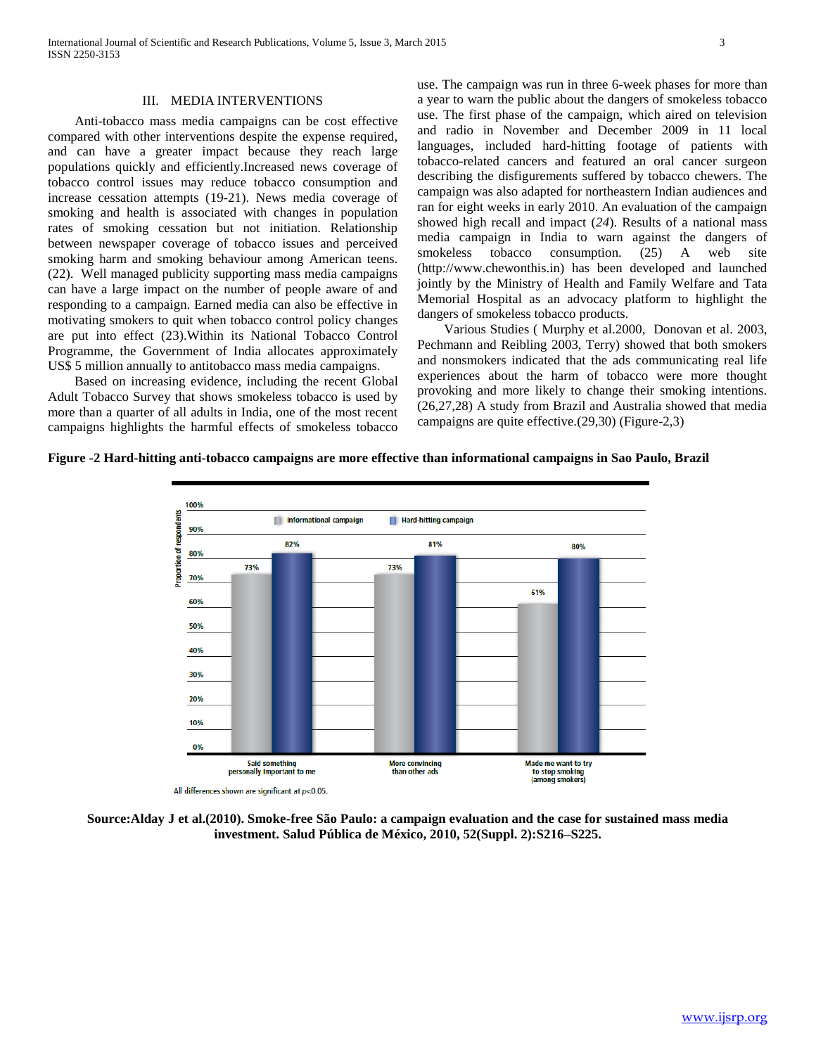#### III. MEDIA INTERVENTIONS

 Anti-tobacco mass media campaigns can be cost effective compared with other interventions despite the expense required, and can have a greater impact because they reach large populations quickly and efficiently.Increased news coverage of tobacco control issues may reduce tobacco consumption and increase cessation attempts (19-21). News media coverage of smoking and health is associated with changes in population rates of smoking cessation but not initiation. Relationship between newspaper coverage of tobacco issues and perceived smoking harm and smoking behaviour among American teens. (22). Well managed publicity supporting mass media campaigns can have a large impact on the number of people aware of and responding to a campaign. Earned media can also be effective in motivating smokers to quit when tobacco control policy changes are put into effect (23).Within its National Tobacco Control Programme, the Government of India allocates approximately US\$ 5 million annually to antitobacco mass media campaigns.

 Based on increasing evidence, including the recent Global Adult Tobacco Survey that shows smokeless tobacco is used by more than a quarter of all adults in India, one of the most recent campaigns highlights the harmful effects of smokeless tobacco use. The campaign was run in three 6-week phases for more than a year to warn the public about the dangers of smokeless tobacco use. The first phase of the campaign, which aired on television and radio in November and December 2009 in 11 local languages, included hard-hitting footage of patients with tobacco-related cancers and featured an oral cancer surgeon describing the disfigurements suffered by tobacco chewers. The campaign was also adapted for northeastern Indian audiences and ran for eight weeks in early 2010. An evaluation of the campaign showed high recall and impact (*24*). Results of a national mass media campaign in India to warn against the dangers of smokeless tobacco consumption. (25) A web site (http://www.chewonthis.in) has been developed and launched jointly by the Ministry of Health and Family Welfare and Tata Memorial Hospital as an advocacy platform to highlight the dangers of smokeless tobacco products.

 Various Studies ( Murphy et al.2000, Donovan et al. 2003, Pechmann and Reibling 2003, Terry) showed that both smokers and nonsmokers indicated that the ads communicating real life experiences about the harm of tobacco were more thought provoking and more likely to change their smoking intentions. (26,27,28) A study from Brazil and Australia showed that media campaigns are quite effective.(29,30) (Figure-2,3)

#### **Figure -2 Hard-hitting anti-tobacco campaigns are more effective than informational campaigns in Sao Paulo, Brazil**



All differences shown are significant at  $p<0.05$ 

**Source:Alday J et al.(2010). Smoke-free São Paulo: a campaign evaluation and the case for sustained mass media investment. Salud Pública de México, 2010, 52(Suppl. 2):S216–S225.**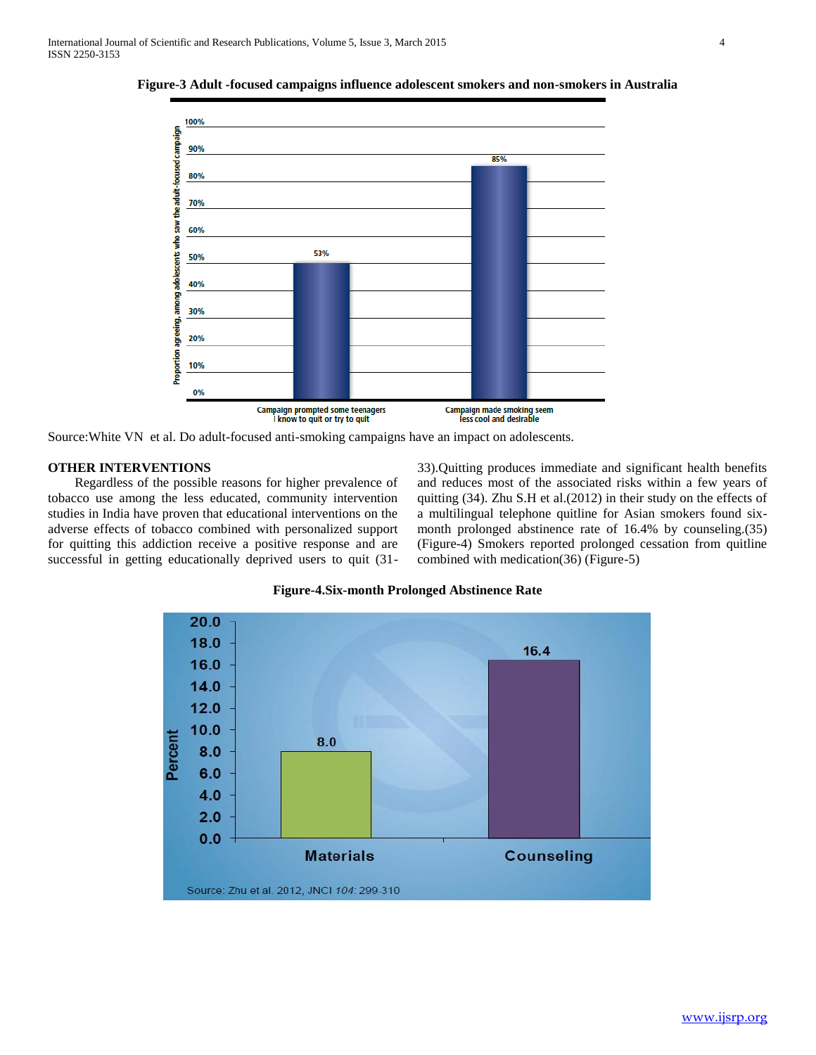

**Figure-3 Adult -focused campaigns influence adolescent smokers and non-smokers in Australia**

Source:White VN et al. Do adult-focused anti-smoking campaigns have an impact on adolescents.

## **OTHER INTERVENTIONS**

 Regardless of the possible reasons for higher prevalence of tobacco use among the less educated, community intervention studies in India have proven that educational interventions on the adverse effects of tobacco combined with personalized support for quitting this addiction receive a positive response and are successful in getting educationally deprived users to quit (3133).Quitting produces immediate and significant health benefits and reduces most of the associated risks within a few years of quitting (34). Zhu S.H et al.(2012) in their study on the effects of a multilingual telephone quitline for Asian smokers found sixmonth prolonged abstinence rate of 16.4% by counseling.(35) (Figure-4) Smokers reported prolonged cessation from quitline combined with medication(36) (Figure-5)



**Figure-4.Six-month Prolonged Abstinence Rate**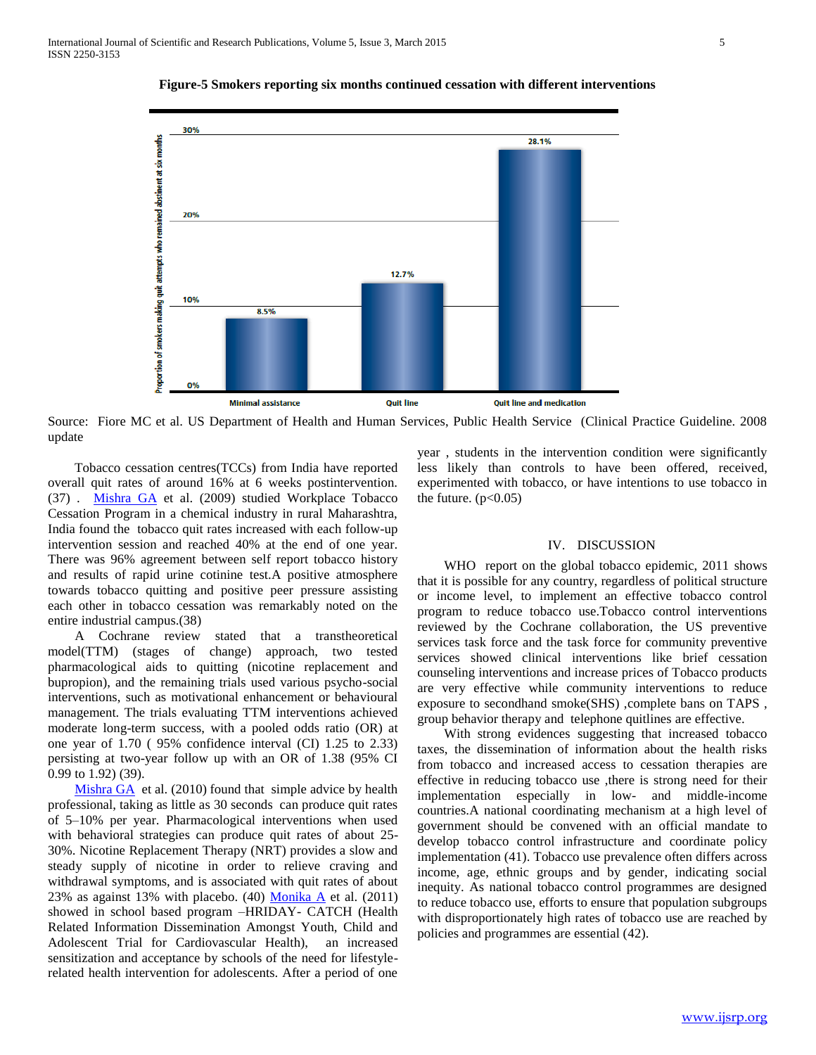

**Figure-5 Smokers reporting six months continued cessation with different interventions**

Source: Fiore MC et al. US Department of Health and Human Services, Public Health Service (Clinical Practice Guideline. 2008 update

 Tobacco cessation centres(TCCs) from India have reported overall quit rates of around 16% at 6 weeks postintervention. (37) . [Mishra GA](http://www.ncbi.nlm.nih.gov/pubmed?term=Mishra%20GA%5BAuthor%5D&cauthor=true&cauthor_uid=20442834) et al. (2009) studied Workplace Tobacco Cessation Program in a chemical industry in rural Maharashtra, India found the tobacco quit rates increased with each follow-up intervention session and reached 40% at the end of one year. There was 96% agreement between self report tobacco history and results of rapid urine cotinine test.A positive atmosphere towards tobacco quitting and positive peer pressure assisting each other in tobacco cessation was remarkably noted on the entire industrial campus.(38)

 A Cochrane review stated that a transtheoretical model(TTM) (stages of change) approach, two tested pharmacological aids to quitting (nicotine replacement and bupropion), and the remaining trials used various psycho-social interventions, such as motivational enhancement or behavioural management. The trials evaluating TTM interventions achieved moderate long-term success, with a pooled odds ratio (OR) at one year of 1.70 ( 95% confidence interval (CI) 1.25 to 2.33) persisting at two-year follow up with an OR of 1.38 (95% CI 0.99 to 1.92) (39).

[Mishra GA](http://www.ncbi.nlm.nih.gov/pubmed?term=Mishra%20GA%5BAuthor%5D&cauthor=true&cauthor_uid=20442834) et al. (2010) found that simple advice by health professional, taking as little as 30 seconds can produce quit rates of 5–10% per year. Pharmacological interventions when used with behavioral strategies can produce quit rates of about 25- 30%. Nicotine Replacement Therapy (NRT) provides a slow and steady supply of nicotine in order to relieve craving and withdrawal symptoms, and is associated with quit rates of about 23% as against 13% with placebo. (40) [Monika A](http://www.ncbi.nlm.nih.gov/pubmed/?term=Arora%20M%5Bauth%5D) et al. (2011) showed in school based program –HRIDAY- CATCH (Health Related Information Dissemination Amongst Youth, Child and Adolescent Trial for Cardiovascular Health), an increased sensitization and acceptance by schools of the need for lifestylerelated health intervention for adolescents. After a period of one

year , students in the intervention condition were significantly less likely than controls to have been offered, received, experimented with tobacco, or have intentions to use tobacco in the future.  $(p<0.05)$ 

#### IV. DISCUSSION

WHO report on the global tobacco epidemic, 2011 shows that it is possible for any country, regardless of political structure or income level, to implement an effective tobacco control program to reduce tobacco use.Tobacco control interventions reviewed by the Cochrane collaboration, the US preventive services task force and the task force for community preventive services showed clinical interventions like brief cessation counseling interventions and increase prices of Tobacco products are very effective while community interventions to reduce exposure to secondhand smoke(SHS) ,complete bans on TAPS , group behavior therapy and telephone quitlines are effective.

 With strong evidences suggesting that increased tobacco taxes, the dissemination of information about the health risks from tobacco and increased access to cessation therapies are effective in reducing tobacco use ,there is strong need for their implementation especially in low- and middle-income countries.A national coordinating mechanism at a high level of government should be convened with an official mandate to develop tobacco control infrastructure and coordinate policy implementation (41). Tobacco use prevalence often differs across income, age, ethnic groups and by gender, indicating social inequity. As national tobacco control programmes are designed to reduce tobacco use, efforts to ensure that population subgroups with disproportionately high rates of tobacco use are reached by policies and programmes are essential (42).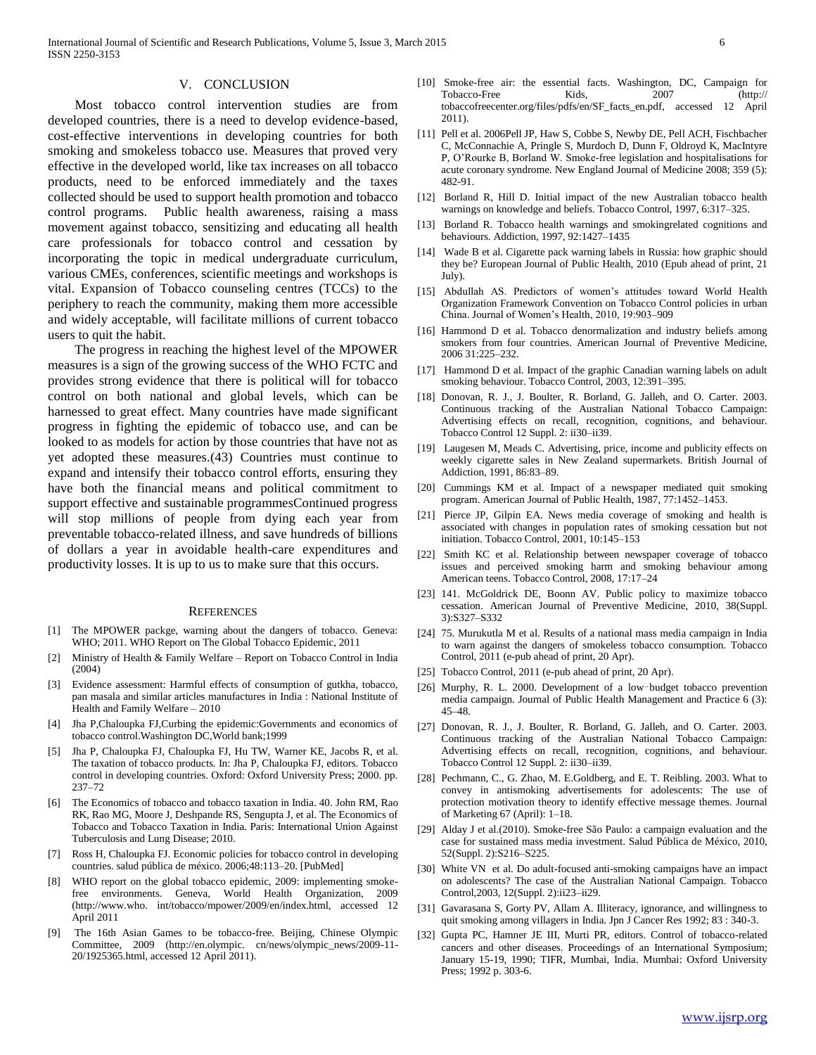#### V. CONCLUSION

 Most tobacco control intervention studies are from developed countries, there is a need to develop evidence-based, cost-effective interventions in developing countries for both smoking and smokeless tobacco use. Measures that proved very effective in the developed world, like tax increases on all tobacco products, need to be enforced immediately and the taxes collected should be used to support health promotion and tobacco control programs. Public health awareness, raising a mass movement against tobacco, sensitizing and educating all health care professionals for tobacco control and cessation by incorporating the topic in medical undergraduate curriculum, various CMEs, conferences, scientific meetings and workshops is vital. Expansion of Tobacco counseling centres (TCCs) to the periphery to reach the community, making them more accessible and widely acceptable, will facilitate millions of current tobacco users to quit the habit.

 The progress in reaching the highest level of the MPOWER measures is a sign of the growing success of the WHO FCTC and provides strong evidence that there is political will for tobacco control on both national and global levels, which can be harnessed to great effect. Many countries have made significant progress in fighting the epidemic of tobacco use, and can be looked to as models for action by those countries that have not as yet adopted these measures.(43) Countries must continue to expand and intensify their tobacco control efforts, ensuring they have both the financial means and political commitment to support effective and sustainable programmesContinued progress will stop millions of people from dying each year from preventable tobacco-related illness, and save hundreds of billions of dollars a year in avoidable health-care expenditures and productivity losses. It is up to us to make sure that this occurs.

#### **REFERENCES**

- [1] The MPOWER packge, warning about the dangers of tobacco. Geneva: WHO; 2011. WHO Report on The Global Tobacco Epidemic, 2011
- [2] Ministry of Health & Family Welfare Report on Tobacco Control in India (2004)
- [3] Evidence assessment: Harmful effects of consumption of gutkha, tobacco, pan masala and similar articles manufactures in India : National Institute of Health and Family Welfare – 2010
- [4] Jha P,Chaloupka FJ,Curbing the epidemic:Governments and economics of tobacco control.Washington DC,World bank;1999
- [5] Jha P, Chaloupka FJ, Chaloupka FJ, Hu TW, Warner KE, Jacobs R, et al. The taxation of tobacco products. In: Jha P, Chaloupka FJ, editors. Tobacco control in developing countries. Oxford: Oxford University Press; 2000. pp. 237–72
- [6] The Economics of tobacco and tobacco taxation in India. 40. John RM, Rao RK, Rao MG, Moore J, Deshpande RS, Sengupta J, et al. The Economics of Tobacco and Tobacco Taxation in India. Paris: International Union Against Tuberculosis and Lung Disease; 2010.
- [7] Ross H, Chaloupka FJ. Economic policies for tobacco control in developing countries. salud pública de méxico. 2006;48:113–20. [PubMed]
- WHO report on the global tobacco epidemic, 2009: implementing smokefree environments. Geneva, World Health Organization, 2009 (http://www.who. int/tobacco/mpower/2009/en/index.html, accessed 12 April 2011
- [9] The 16th Asian Games to be tobacco-free. Beijing, Chinese Olympic Committee, 2009 (http://en.olympic. cn/news/olympic\_news/2009-11- 20/1925365.html, accessed 12 April 2011).
- [10] Smoke-free air: the essential facts. Washington, DC, Campaign for Tobacco-Free Kids, 2007 (http:// tobaccofreecenter.org/files/pdfs/en/SF\_facts\_en.pdf, accessed 12 April 2011).
- [11] Pell et al. 2006Pell JP, Haw S, Cobbe S, Newby DE, Pell ACH, Fischbacher C, McConnachie A, Pringle S, Murdoch D, Dunn F, Oldroyd K, MacIntyre P, O'Rourke B, Borland W. Smoke-free legislation and hospitalisations for acute coronary syndrome. New England Journal of Medicine 2008; 359 (5): 482-91.
- [12] Borland R, Hill D. Initial impact of the new Australian tobacco health warnings on knowledge and beliefs. Tobacco Control, 1997, 6:317–325.
- [13] Borland R. Tobacco health warnings and smokingrelated cognitions and behaviours. Addiction, 1997, 92:1427–1435
- [14] Wade B et al. Cigarette pack warning labels in Russia: how graphic should they be? European Journal of Public Health, 2010 (Epub ahead of print, 21 July).
- [15] Abdullah AS. Predictors of women's attitudes toward World Health Organization Framework Convention on Tobacco Control policies in urban China. Journal of Women's Health, 2010, 19:903–909
- [16] Hammond D et al. Tobacco denormalization and industry beliefs among smokers from four countries. American Journal of Preventive Medicine, 2006 31:225–232.
- [17] Hammond D et al. Impact of the graphic Canadian warning labels on adult smoking behaviour. Tobacco Control, 2003, 12:391–395.
- [18] Donovan, R. J., J. Boulter, R. Borland, G. Jalleh, and O. Carter. 2003. Continuous tracking of the Australian National Tobacco Campaign: Advertising effects on recall, recognition, cognitions, and behaviour. Tobacco Control 12 Suppl. 2: ii30–ii39.
- [19] Laugesen M, Meads C. Advertising, price, income and publicity effects on weekly cigarette sales in New Zealand supermarkets. British Journal of Addiction, 1991, 86:83–89.
- [20] Cummings KM et al. Impact of a newspaper mediated quit smoking program. American Journal of Public Health, 1987, 77:1452–1453.
- [21] Pierce JP, Gilpin EA. News media coverage of smoking and health is associated with changes in population rates of smoking cessation but not initiation. Tobacco Control, 2001, 10:145–153
- [22] Smith KC et al. Relationship between newspaper coverage of tobacco issues and perceived smoking harm and smoking behaviour among American teens. Tobacco Control, 2008, 17:17–24
- [23] 141. McGoldrick DE, Boonn AV. Public policy to maximize tobacco cessation. American Journal of Preventive Medicine, 2010, 38(Suppl. 3):S327–S332
- [24] 75. Murukutla M et al. Results of a national mass media campaign in India to warn against the dangers of smokeless tobacco consumption. Tobacco Control, 2011 (e-pub ahead of print, 20 Apr).
- [25] Tobacco Control, 2011 (e-pub ahead of print, 20 Apr).
- [26] Murphy, R. L. 2000. Development of a low-budget tobacco prevention media campaign. Journal of Public Health Management and Practice 6 (3): 45–48.
- [27] Donovan, R. J., J. Boulter, R. Borland, G. Jalleh, and O. Carter. 2003. Continuous tracking of the Australian National Tobacco Campaign: Advertising effects on recall, recognition, cognitions, and behaviour. Tobacco Control 12 Suppl. 2: ii30–ii39.
- [28] Pechmann, C., G. Zhao, M. E.Goldberg, and E. T. Reibling. 2003. What to convey in antismoking advertisements for adolescents: The use of protection motivation theory to identify effective message themes. Journal of Marketing 67 (April): 1–18.
- [29] Alday J et al.(2010). Smoke-free São Paulo: a campaign evaluation and the case for sustained mass media investment. Salud Pública de México, 2010, 52(Suppl. 2):S216–S225.
- [30] White VN et al. Do adult-focused anti-smoking campaigns have an impact on adolescents? The case of the Australian National Campaign. Tobacco Control,2003, 12(Suppl. 2):ii23–ii29.
- [31] Gavarasana S, Gorty PV, Allam A. Illiteracy, ignorance, and willingness to quit smoking among villagers in India. Jpn J Cancer Res 1992; 83 : 340-3.
- [32] Gupta PC, Hamner JE III, Murti PR, editors. Control of tobacco-related cancers and other diseases. Proceedings of an International Symposium; January 15-19, 1990; TIFR, Mumbai, India. Mumbai: Oxford University Press; 1992 p. 303-6.